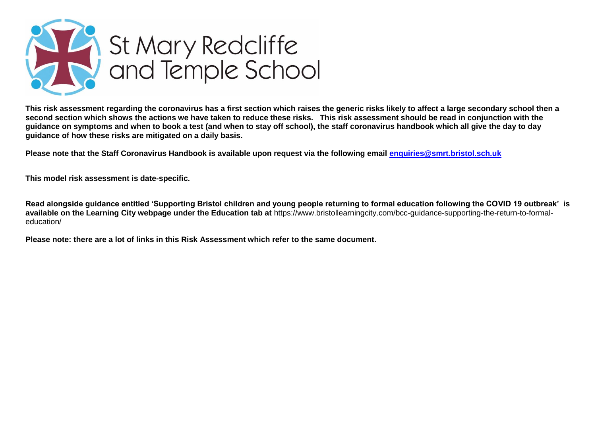

**This risk assessment regarding the coronavirus has a first section which raises the generic risks likely to affect a large secondary school then a second section which shows the actions we have taken to reduce these risks. This risk assessment should be read in conjunction with the guidance on symptoms and when to book a test (and when to stay off school), the staff coronavirus handbook which all give the day to day guidance of how these risks are mitigated on a daily basis.**

**Please note that the Staff Coronavirus Handbook is available upon request via the following email [enquiries@smrt.bristol.sch.uk](mailto:enquiries@smrt.bristol.sch.uk)**

**This model risk assessment is date-specific.**

**Read alongside guidance entitled 'Supporting Bristol children and young people returning to formal education following the COVID 19 outbreak' is available on the Learning City webpage under the Education tab at** [https://www.bristollearningcity.com/bcc-guidance-supporting-the-return-to-formal](https://www.bristollearningcity.com/bcc-guidance-supporting-the-return-to-formal-education/)[education/](https://www.bristollearningcity.com/bcc-guidance-supporting-the-return-to-formal-education/)

**Please note: there are a lot of links in this Risk Assessment which refer to the same document.**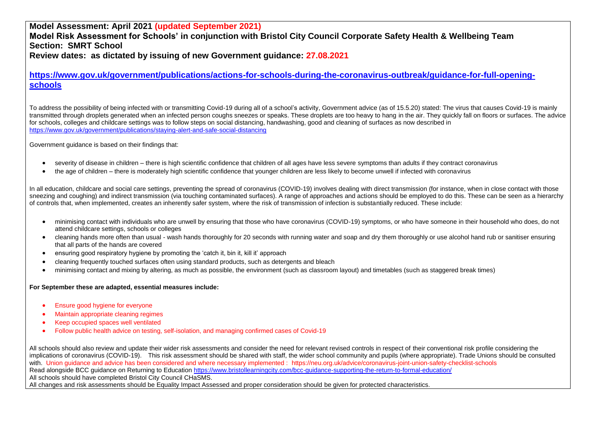**Model Assessment: April 2021 (updated September 2021) Model Risk Assessment for Schools' in conjunction with Bristol City Council Corporate Safety Health & Wellbeing Team Section: SMRT School Review dates: as dictated by issuing of new Government guidance: 27.08.2021**

**[https://www.gov.uk/government/publications/actions-for-schools-during-the-coronavirus-outbreak/guidance-for-full-opening](https://www.gov.uk/government/publications/actions-for-schools-during-the-coronavirus-outbreak/guidance-for-full-opening-schools)[schools](https://www.gov.uk/government/publications/actions-for-schools-during-the-coronavirus-outbreak/guidance-for-full-opening-schools)**

To address the possibility of being infected with or transmitting Covid-19 during all of a school's activity, Government advice (as of 15.5.20) stated: The virus that causes Covid-19 is mainly transmitted through droplets generated when an infected person coughs sneezes or speaks. These droplets are too heavy to hang in the air. They quickly fall on floors or surfaces. The advice for schools, colleges and childcare settings was to follow steps on social distancing, handwashing, good and cleaning of surfaces as now described in <https://www.gov.uk/government/publications/staying-alert-and-safe-social-distancing>

Government guidance is based on their findings that:

- severity of disease in children there is high scientific confidence that children of all ages have less severe symptoms than adults if they contract coronavirus
- the age of children there is moderately high scientific confidence that younger children are less likely to become unwell if infected with coronavirus

In all education, childcare and social care settings, preventing the spread of coronavirus (COVID-19) involves dealing with direct transmission (for instance, when in close contact with those sneezing and coughing) and indirect transmission (via touching contaminated surfaces). A range of approaches and actions should be employed to do this. These can be seen as a hierarchy of controls that, when implemented, creates an inherently safer system, where the risk of transmission of infection is substantially reduced. These include:

- minimising contact with individuals who are unwell by ensuring that those who have coronavirus (COVID-19) symptoms, or who have someone in their household who does, do not attend childcare settings, schools or colleges
- cleaning hands more often than usual wash hands thoroughly for 20 seconds with running water and soap and dry them thoroughly or use alcohol hand rub or sanitiser ensuring that all parts of the hands are covered
- ensuring good respiratory hygiene by promoting the 'catch it, bin it, kill it' approach
- cleaning frequently touched surfaces often using standard products, such as detergents and bleach
- minimising contact and mixing by altering, as much as possible, the environment (such as classroom layout) and timetables (such as staggered break times)

#### **For September these are adapted, essential measures include:**

- **Ensure good hygiene for everyone**
- Maintain appropriate cleaning regimes
- Keep occupied spaces well ventilated
- Follow public health advice on testing, self-isolation, and managing confirmed cases of Covid-19

All schools should also review and update their wider risk assessments and consider the need for relevant revised controls in respect of their conventional risk profile considering the implications of coronavirus (COVID-19). This risk assessment should be shared with staff, the wider school community and pupils (where appropriate). Trade Unions should be consulted with. Union guidance and advice has been considered and where necessary implemented : https://neu.org.uk/advice/coronavirus-joint-union-safety-checklist-schools Read alongside BCC guidance on Returning to Education https://www.bristollearningcity.com/bcc-quidance-supporting-the-return-to-formal-education/ All schools should have completed Bristol City Council CHaSMS. All changes and risk assessments should be Equality Impact Assessed and proper consideration should be given for protected characteristics.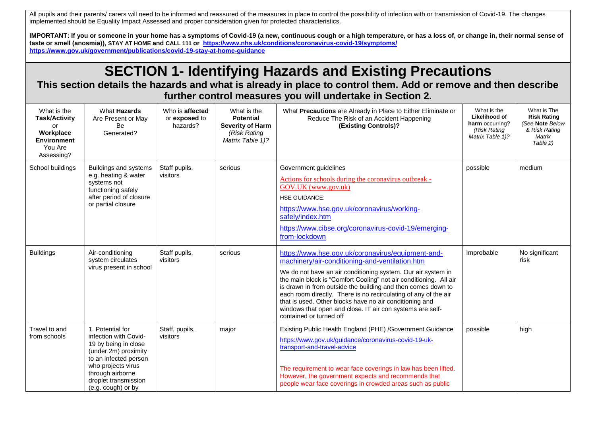All pupils and their parents/ carers will need to be informed and reassured of the measures in place to control the possibility of infection with or transmission of Covid-19. The changes implemented should be Equality Impact Assessed and proper consideration given for protected characteristics.

**IMPORTANT: If you or someone in your home has a symptoms of Covid-19 (a new, continuous cough or a high temperature, or has a loss of, or change in, their normal sense of taste or smell (anosmia)), STAY AT HOME and CALL 111 or<https://www.nhs.uk/conditions/coronavirus-covid-19/symptoms/> https://www.gov.uk/government/publications/covid-19-stay-at-home-guidance**

## **SECTION 1- Identifying Hazards and Existing Precautions**

**This section details the hazards and what is already in place to control them. Add or remove and then describe further control measures you will undertake in Section 2.**

| What is the<br><b>Task/Activity</b><br>or<br>Workplace<br><b>Environment</b><br>You Are<br>Assessing? | What Hazards<br>Are Present or May<br>Be<br>Generated?                                                                                                                                                     | Who is affected<br>or exposed to<br>hazards? | What is the<br><b>Potential</b><br><b>Severity of Harm</b><br>(Risk Rating<br>Matrix Table 1)? | What Precautions are Already in Place to Either Eliminate or<br>Reduce The Risk of an Accident Happening<br>(Existing Controls)?                                                                                                                                                                                                                                                                                                                                                                                               | What is the<br>Likelihood of<br>harm occurring?<br>(Risk Rating<br>Matrix Table 1)? | What is The<br><b>Risk Rating</b><br>(See Note Below<br>& Risk Rating<br>Matrix<br>Table 2) |
|-------------------------------------------------------------------------------------------------------|------------------------------------------------------------------------------------------------------------------------------------------------------------------------------------------------------------|----------------------------------------------|------------------------------------------------------------------------------------------------|--------------------------------------------------------------------------------------------------------------------------------------------------------------------------------------------------------------------------------------------------------------------------------------------------------------------------------------------------------------------------------------------------------------------------------------------------------------------------------------------------------------------------------|-------------------------------------------------------------------------------------|---------------------------------------------------------------------------------------------|
| School buildings                                                                                      | Buildings and systems<br>e.g. heating & water<br>systems not<br>functioning safely<br>after period of closure<br>or partial closure                                                                        | Staff pupils,<br>visitors                    | serious                                                                                        | Government guidelines<br>Actions for schools during the coronavirus outbreak -<br>GOV.UK (www.gov.uk)<br><b>HSE GUIDANCE:</b><br>https://www.hse.gov.uk/coronavirus/working-<br>safely/index.htm<br>https://www.cibse.org/coronavirus-covid-19/emerging-<br>from-lockdown                                                                                                                                                                                                                                                      | possible                                                                            | medium                                                                                      |
| <b>Buildings</b>                                                                                      | Air-conditioning<br>system circulates<br>virus present in school                                                                                                                                           | Staff pupils,<br>visitors                    | serious                                                                                        | https://www.hse.gov.uk/coronavirus/equipment-and-<br>machinery/air-conditioning-and-ventilation.htm<br>We do not have an air conditioning system. Our air system in<br>the main block is "Comfort Cooling" not air conditioning. All air<br>is drawn in from outside the building and then comes down to<br>each room directly. There is no recirculating of any of the air<br>that is used. Other blocks have no air conditioning and<br>windows that open and close. IT air con systems are self-<br>contained or turned off | Improbable                                                                          | No significant<br>risk                                                                      |
| Travel to and<br>from schools                                                                         | 1. Potential for<br>infection with Covid-<br>19 by being in close<br>(under 2m) proximity<br>to an infected person<br>who projects virus<br>through airborne<br>droplet transmission<br>(e.g. cough) or by | Staff, pupils,<br>visitors                   | major                                                                                          | Existing Public Health England (PHE) /Government Guidance<br>https://www.gov.uk/guidance/coronavirus-covid-19-uk-<br>transport-and-travel-advice<br>The requirement to wear face coverings in law has been lifted.<br>However, the government expects and recommends that<br>people wear face coverings in crowded areas such as public                                                                                                                                                                                        | possible                                                                            | high                                                                                        |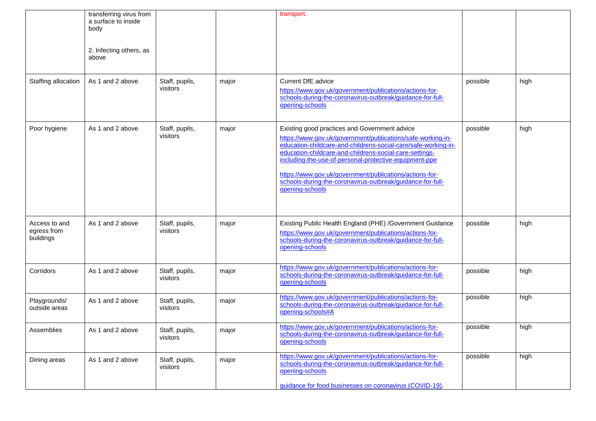|                                           | transferring virus from<br>a surface to inside<br>body<br>2. Infecting others, as<br>above |                            |       | transport.                                                                                                                                                                                                                                                                                                                                                                                                                                      |          |      |
|-------------------------------------------|--------------------------------------------------------------------------------------------|----------------------------|-------|-------------------------------------------------------------------------------------------------------------------------------------------------------------------------------------------------------------------------------------------------------------------------------------------------------------------------------------------------------------------------------------------------------------------------------------------------|----------|------|
| Staffing allocation                       | As 1 and 2 above                                                                           | Staff, pupils,<br>visitors | major | <b>Current DfE advice</b><br>https://www.gov.uk/government/publications/actions-for-<br>schools-during-the-coronavirus-outbreak/guidance-for-full-<br>opening-schools                                                                                                                                                                                                                                                                           | possible | high |
| Poor hygiene                              | As 1 and 2 above                                                                           | Staff, pupils,<br>visitors | major | Existing good practices and Government advice<br>https://www.gov.uk/government/publications/safe-working-in-<br>education-childcare-and-childrens-social-care/safe-working-in-<br>education-childcare-and-childrens-social-care-settings-<br>including-the-use-of-personal-protective-equipment-ppe<br>https://www.gov.uk/government/publications/actions-for-<br>schools-during-the-coronavirus-outbreak/guidance-for-full-<br>opening-schools | possible | high |
| Access to and<br>egress from<br>buildings | As 1 and 2 above                                                                           | Staff, pupils,<br>visitors | major | Existing Public Health England (PHE) /Government Guidance<br>https://www.gov.uk/government/publications/actions-for-<br>schools-during-the-coronavirus-outbreak/guidance-for-full-<br>opening-schools                                                                                                                                                                                                                                           | possible | high |
| Corridors                                 | As 1 and 2 above                                                                           | Staff, pupils,<br>visitors | major | https://www.gov.uk/government/publications/actions-for-<br>schools-during-the-coronavirus-outbreak/guidance-for-full-<br>opening-schools                                                                                                                                                                                                                                                                                                        | possible | high |
| Playgrounds/<br>outside areas             | As 1 and 2 above                                                                           | Staff, pupils,<br>visitors | major | https://www.gov.uk/government/publications/actions-for-<br>schools-during-the-coronavirus-outbreak/guidance-for-full-<br>opening-schools#A                                                                                                                                                                                                                                                                                                      | possible | high |
| Assemblies                                | As 1 and 2 above                                                                           | Staff, pupils,<br>visitors | major | https://www.gov.uk/government/publications/actions-for-<br>schools-during-the-coronavirus-outbreak/guidance-for-full-<br>opening-schools                                                                                                                                                                                                                                                                                                        | possible | high |
| Dining areas                              | As 1 and 2 above                                                                           | Staff, pupils,<br>visitors | major | https://www.gov.uk/government/publications/actions-for-<br>schools-during-the-coronavirus-outbreak/guidance-for-full-<br>opening-schools<br>guidance for food businesses on coronavirus (COVID-19).                                                                                                                                                                                                                                             | possible | high |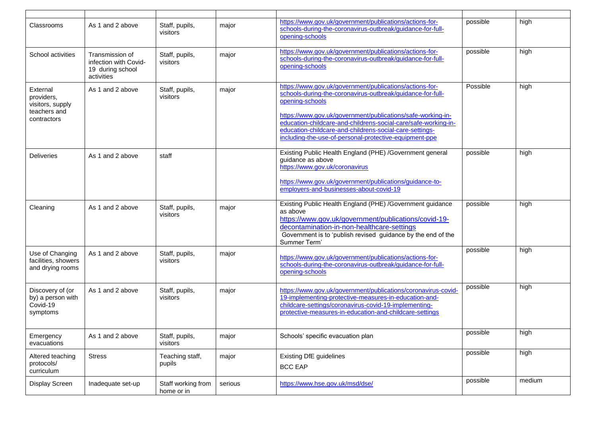| Classrooms                                                    | As 1 and 2 above                                                           | Staff, pupils,<br>visitors       | major   | https://www.gov.uk/government/publications/actions-for-<br>schools-during-the-coronavirus-outbreak/guidance-for-full-<br>opening-schools                                                                                                                    | possible | high   |
|---------------------------------------------------------------|----------------------------------------------------------------------------|----------------------------------|---------|-------------------------------------------------------------------------------------------------------------------------------------------------------------------------------------------------------------------------------------------------------------|----------|--------|
| School activities                                             | Transmission of<br>infection with Covid-<br>19 during school<br>activities | Staff, pupils,<br>visitors       | major   | https://www.gov.uk/government/publications/actions-for-<br>schools-during-the-coronavirus-outbreak/guidance-for-full-<br>opening-schools                                                                                                                    | possible | high   |
| External<br>providers,<br>visitors, supply                    | As 1 and 2 above                                                           | Staff, pupils,<br>visitors       | major   | https://www.gov.uk/government/publications/actions-for-<br>schools-during-the-coronavirus-outbreak/guidance-for-full-<br>opening-schools                                                                                                                    | Possible | high   |
| teachers and<br>contractors                                   |                                                                            |                                  |         | https://www.gov.uk/government/publications/safe-working-in-<br>education-childcare-and-childrens-social-care/safe-working-in-<br>education-childcare-and-childrens-social-care-settings-<br>including-the-use-of-personal-protective-equipment-ppe          |          |        |
| <b>Deliveries</b>                                             | As 1 and 2 above                                                           | staff                            |         | Existing Public Health England (PHE) /Government general<br>guidance as above<br>https://www.gov.uk/coronavirus                                                                                                                                             | possible | high   |
|                                                               |                                                                            |                                  |         | https://www.gov.uk/government/publications/guidance-to-<br>employers-and-businesses-about-covid-19                                                                                                                                                          |          |        |
| Cleaning                                                      | As 1 and 2 above                                                           | Staff, pupils,<br>visitors       | major   | Existing Public Health England (PHE) /Government guidance<br>as above<br>https://www.gov.uk/government/publications/covid-19-<br>decontamination-in-non-healthcare-settings<br>Government is to 'publish revised guidance by the end of the<br>Summer Term' | possible | high   |
| Use of Changing<br>facilities, showers<br>and drying rooms    | As 1 and 2 above                                                           | Staff, pupils,<br>visitors       | major   | https://www.gov.uk/government/publications/actions-for-<br>schools-during-the-coronavirus-outbreak/guidance-for-full-<br>opening-schools                                                                                                                    | possible | high   |
| Discovery of (or<br>by) a person with<br>Covid-19<br>symptoms | As 1 and 2 above                                                           | Staff, pupils,<br>visitors       | major   | https://www.gov.uk/government/publications/coronavirus-covid-<br>19-implementing-protective-measures-in-education-and-<br>childcare-settings/coronavirus-covid-19-implementing-<br>protective-measures-in-education-and-childcare-settings                  | possible | high   |
| Emergency<br>evacuations                                      | As 1 and 2 above                                                           | Staff, pupils,<br>visitors       | major   | Schools' specific evacuation plan                                                                                                                                                                                                                           | possible | high   |
| Altered teaching<br>protocols/<br>curriculum                  | <b>Stress</b>                                                              | Teaching staff,<br>pupils        | major   | <b>Existing DfE guidelines</b><br><b>BCC EAP</b>                                                                                                                                                                                                            | possible | high   |
| Display Screen                                                | Inadequate set-up                                                          | Staff working from<br>home or in | serious | https://www.hse.gov.uk/msd/dse/                                                                                                                                                                                                                             | possible | medium |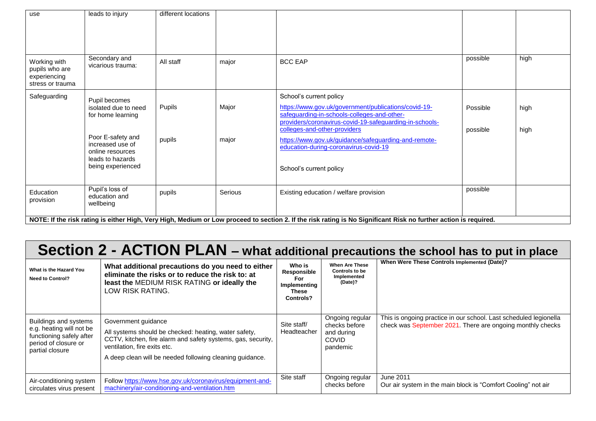| use                                                                | leads to injury                                                                                    | different locations |         |                                                                                                                                                                                                                           |                      |              |
|--------------------------------------------------------------------|----------------------------------------------------------------------------------------------------|---------------------|---------|---------------------------------------------------------------------------------------------------------------------------------------------------------------------------------------------------------------------------|----------------------|--------------|
| Working with<br>pupils who are<br>experiencing<br>stress or trauma | Secondary and<br>vicarious trauma:                                                                 | All staff           | major   | <b>BCC EAP</b>                                                                                                                                                                                                            | possible             | high         |
| Safeguarding                                                       | Pupil becomes<br>isolated due to need<br>for home learning                                         | Pupils              | Major   | School's current policy<br>https://www.gov.uk/government/publications/covid-19-<br>safeguarding-in-schools-colleges-and-other-<br>providers/coronavirus-covid-19-safeguarding-in-schools-<br>colleges-and-other-providers | Possible<br>possible | high<br>high |
|                                                                    | Poor E-safety and<br>increased use of<br>online resources<br>leads to hazards<br>being experienced | pupils              | major   | https://www.gov.uk/guidance/safeguarding-and-remote-<br>education-during-coronavirus-covid-19<br>School's current policy                                                                                                  |                      |              |
| Education<br>provision                                             | Pupil's loss of<br>education and<br>wellbeing                                                      | pupils              | Serious | Existing education / welfare provision                                                                                                                                                                                    | possible             |              |
|                                                                    |                                                                                                    |                     |         | NOTE: If the risk rating is either High, Very High, Medium or Low proceed to section 2. If the risk rating is No Significant Risk no further action is required.                                                          |                      |              |

# **Section 2 - ACTION PLAN – what additional precautions the school has to put in place**

| What is the Hazard You<br><b>Need to Control?</b>                                                                        | What additional precautions do you need to either<br>eliminate the risks or to reduce the risk to: at<br>least the MEDIUM RISK RATING or ideally the<br>LOW RISK RATING.                                                                 | Who is<br>Responsible<br>For<br>Implementing<br>These<br><b>Controls?</b> | <b>When Are These</b><br><b>Controls to be</b><br>Implemented<br>(Date)?   | When Were These Controls Implemented (Date)?                                                                                    |
|--------------------------------------------------------------------------------------------------------------------------|------------------------------------------------------------------------------------------------------------------------------------------------------------------------------------------------------------------------------------------|---------------------------------------------------------------------------|----------------------------------------------------------------------------|---------------------------------------------------------------------------------------------------------------------------------|
| Buildings and systems<br>e.g. heating will not be<br>functioning safely after<br>period of closure or<br>partial closure | Government guidance<br>All systems should be checked: heating, water safety,<br>CCTV, kitchen, fire alarm and safety systems, gas, security,<br>ventilation, fire exits etc.<br>A deep clean will be needed following cleaning guidance. | Site staff/<br>Headteacher                                                | Ongoing regular<br>checks before<br>and during<br><b>COVID</b><br>pandemic | This is ongoing practice in our school. Last scheduled legionella<br>check was September 2021. There are ongoing monthly checks |
| Air-conditioning system<br>circulates virus present                                                                      | Follow https://www.hse.gov.uk/coronavirus/equipment-and-<br>machinery/air-conditioning-and-ventilation.htm                                                                                                                               | Site staff                                                                | Ongoing regular<br>checks before                                           | June 2011<br>Our air system in the main block is "Comfort Cooling" not air                                                      |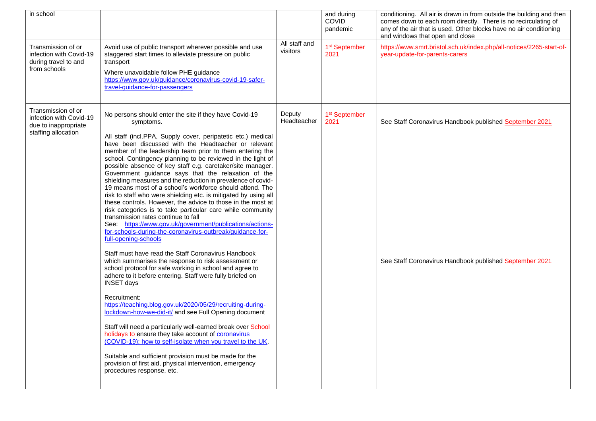| in school                                                                                    |                                                                                                                                                                                                                                                                                                                                                                                                                                                                                                                                                                                                                                                                                                                                                                                                                                                                                                                                                                                                                                                                                                                                                                                                                                                                                                                                                                                                                                                                                                                                                                                                                                                                                                                  |                           | and during<br>COVID<br>pandemic   | conditioning. All air is drawn in from outside the building and then<br>comes down to each room directly. There is no recirculating of<br>any of the air that is used. Other blocks have no air conditioning<br>and windows that open and close |
|----------------------------------------------------------------------------------------------|------------------------------------------------------------------------------------------------------------------------------------------------------------------------------------------------------------------------------------------------------------------------------------------------------------------------------------------------------------------------------------------------------------------------------------------------------------------------------------------------------------------------------------------------------------------------------------------------------------------------------------------------------------------------------------------------------------------------------------------------------------------------------------------------------------------------------------------------------------------------------------------------------------------------------------------------------------------------------------------------------------------------------------------------------------------------------------------------------------------------------------------------------------------------------------------------------------------------------------------------------------------------------------------------------------------------------------------------------------------------------------------------------------------------------------------------------------------------------------------------------------------------------------------------------------------------------------------------------------------------------------------------------------------------------------------------------------------|---------------------------|-----------------------------------|-------------------------------------------------------------------------------------------------------------------------------------------------------------------------------------------------------------------------------------------------|
| Transmission of or<br>infection with Covid-19<br>during travel to and<br>from schools        | Avoid use of public transport wherever possible and use<br>staggered start times to alleviate pressure on public<br>transport<br>Where unavoidable follow PHE guidance<br>https://www.gov.uk/guidance/coronavirus-covid-19-safer-<br>travel-guidance-for-passengers                                                                                                                                                                                                                                                                                                                                                                                                                                                                                                                                                                                                                                                                                                                                                                                                                                                                                                                                                                                                                                                                                                                                                                                                                                                                                                                                                                                                                                              | All staff and<br>visitors | 1 <sup>st</sup> September<br>2021 | https://www.smrt.bristol.sch.uk/index.php/all-notices/2265-start-of-<br>year-update-for-parents-carers                                                                                                                                          |
| Transmission of or<br>infection with Covid-19<br>due to inappropriate<br>staffing allocation | No persons should enter the site if they have Covid-19<br>symptoms.<br>All staff (incl.PPA, Supply cover, peripatetic etc.) medical<br>have been discussed with the Headteacher or relevant<br>member of the leadership team prior to them entering the<br>school. Contingency planning to be reviewed in the light of<br>possible absence of key staff e.g. caretaker/site manager.<br>Government guidance says that the relaxation of the<br>shielding measures and the reduction in prevalence of covid-<br>19 means most of a school's workforce should attend. The<br>risk to staff who were shielding etc. is mitigated by using all<br>these controls. However, the advice to those in the most at<br>risk categories is to take particular care while community<br>transmission rates continue to fall<br>See: https://www.gov.uk/government/publications/actions-<br>for-schools-during-the-coronavirus-outbreak/guidance-for-<br>full-opening-schools<br>Staff must have read the Staff Coronavirus Handbook<br>which summarises the response to risk assessment or<br>school protocol for safe working in school and agree to<br>adhere to it before entering. Staff were fully briefed on<br><b>INSET days</b><br>Recruitment:<br>https://teaching.blog.gov.uk/2020/05/29/recruiting-during-<br>lockdown-how-we-did-it/ and see Full Opening document<br>Staff will need a particularly well-earned break over School<br>holidays to ensure they take account of <b>coronavirus</b><br>(COVID-19): how to self-isolate when you travel to the UK.<br>Suitable and sufficient provision must be made for the<br>provision of first aid, physical intervention, emergency<br>procedures response, etc. | Deputy<br>Headteacher     | 1 <sup>st</sup> September<br>2021 | See Staff Coronavirus Handbook published September 2021<br>See Staff Coronavirus Handbook published September 2021                                                                                                                              |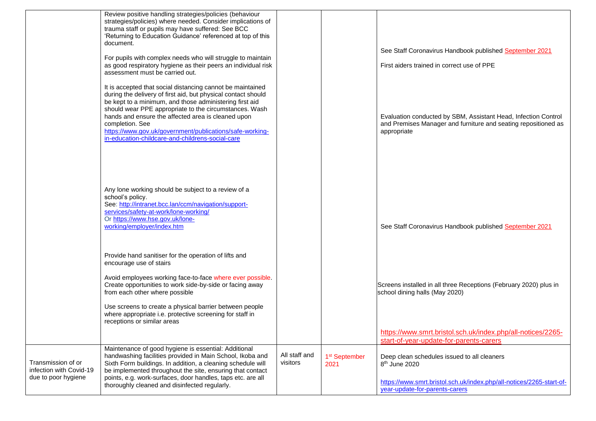|                                                                      | Review positive handling strategies/policies (behaviour<br>strategies/policies) where needed. Consider implications of<br>trauma staff or pupils may have suffered: See BCC<br>'Returning to Education Guidance' referenced at top of this<br>document.                                                                                                                                                                                   |                           |                                   | See Staff Coronavirus Handbook published September 2021                                                                                          |
|----------------------------------------------------------------------|-------------------------------------------------------------------------------------------------------------------------------------------------------------------------------------------------------------------------------------------------------------------------------------------------------------------------------------------------------------------------------------------------------------------------------------------|---------------------------|-----------------------------------|--------------------------------------------------------------------------------------------------------------------------------------------------|
|                                                                      | For pupils with complex needs who will struggle to maintain<br>as good respiratory hygiene as their peers an individual risk<br>assessment must be carried out.                                                                                                                                                                                                                                                                           |                           |                                   | First aiders trained in correct use of PPE                                                                                                       |
|                                                                      | It is accepted that social distancing cannot be maintained<br>during the delivery of first aid, but physical contact should<br>be kept to a minimum, and those administering first aid<br>should wear PPE appropriate to the circumstances. Wash<br>hands and ensure the affected area is cleaned upon<br>completion. See<br>https://www.gov.uk/government/publications/safe-working-<br>in-education-childcare-and-childrens-social-care |                           |                                   | Evaluation conducted by SBM, Assistant Head, Infection Control<br>and Premises Manager and furniture and seating repositioned as<br>appropriate  |
|                                                                      | Any lone working should be subject to a review of a<br>school's policy.<br>See: http://intranet.bcc.lan/ccm/navigation/support-<br>services/safety-at-work/lone-working/<br>Or https://www.hse.gov.uk/lone-<br>working/employer/index.htm                                                                                                                                                                                                 |                           |                                   | See Staff Coronavirus Handbook published September 2021                                                                                          |
|                                                                      | Provide hand sanitiser for the operation of lifts and<br>encourage use of stairs<br>Avoid employees working face-to-face where ever possible.<br>Create opportunities to work side-by-side or facing away<br>from each other where possible<br>Use screens to create a physical barrier between people<br>where appropriate i.e. protective screening for staff in<br>receptions or similar areas                                         |                           |                                   | Screens installed in all three Receptions (February 2020) plus in<br>school dining halls (May 2020)                                              |
|                                                                      |                                                                                                                                                                                                                                                                                                                                                                                                                                           |                           |                                   | https://www.smrt.bristol.sch.uk/index.php/all-notices/2265-<br>start-of-year-update-for-parents-carers                                           |
| Transmission of or<br>infection with Covid-19<br>due to poor hygiene | Maintenance of good hygiene is essential: Additional<br>handwashing facilities provided in Main School, Ikoba and<br>Sixth Form buildings. In addition, a cleaning schedule will<br>be implemented throughout the site, ensuring that contact<br>points, e.g. work-surfaces, door handles, taps etc. are all<br>thoroughly cleaned and disinfected regularly.                                                                             | All staff and<br>visitors | 1 <sup>st</sup> September<br>2021 | Deep clean schedules issued to all cleaners<br>8 <sup>th</sup> June 2020<br>https://www.smrt.bristol.sch.uk/index.php/all-notices/2265-start-of- |
|                                                                      |                                                                                                                                                                                                                                                                                                                                                                                                                                           |                           |                                   | year-update-for-parents-carers                                                                                                                   |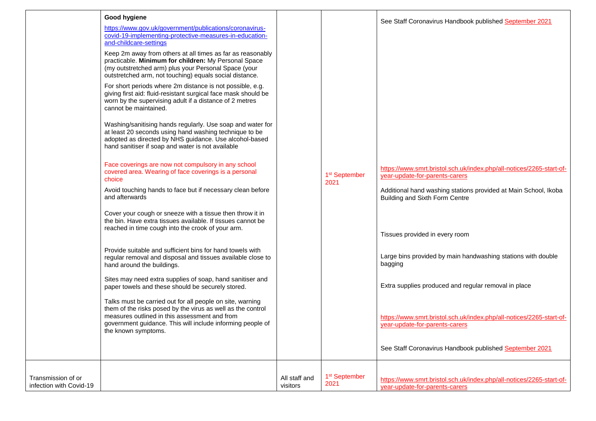|                         | Good hygiene<br>https://www.gov.uk/government/publications/coronavirus-<br>covid-19-implementing-protective-measures-in-education-<br>and-childcare-settings<br>Keep 2m away from others at all times as far as reasonably<br>practicable. Minimum for children: My Personal Space<br>(my outstretched arm) plus your Personal Space (your<br>outstretched arm, not touching) equals social distance.<br>For short periods where 2m distance is not possible, e.g.<br>giving first aid: fluid-resistant surgical face mask should be<br>worn by the supervising adult if a distance of 2 metres<br>cannot be maintained.<br>Washing/sanitising hands regularly. Use soap and water for<br>at least 20 seconds using hand washing technique to be<br>adopted as directed by NHS guidance. Use alcohol-based<br>hand sanitiser if soap and water is not available<br>Face coverings are now not compulsory in any school<br>covered area. Wearing of face coverings is a personal<br>choice<br>Avoid touching hands to face but if necessary clean before<br>and afterwards<br>Cover your cough or sneeze with a tissue then throw it in<br>the bin. Have extra tissues available. If tissues cannot be<br>reached in time cough into the crook of your arm.<br>Provide suitable and sufficient bins for hand towels with<br>regular removal and disposal and tissues available close to<br>hand around the buildings.<br>Sites may need extra supplies of soap, hand sanitiser and<br>paper towels and these should be securely stored.<br>Talks must be carried out for all people on site, warning<br>them of the risks posed by the virus as well as the control<br>measures outlined in this assessment and from<br>government guidance. This will include informing people of<br>the known symptoms. |               | 1 <sup>st</sup> September<br>2021 | See Staff Coronavirus Handbook published September 2021<br>https://www.smrt.bristol.sch.uk/index.php/all-notices/2265-start-of-<br>year-update-for-parents-carers<br>Additional hand washing stations provided at Main School, Ikoba<br>Building and Sixth Form Centre<br>Tissues provided in every room<br>Large bins provided by main handwashing stations with double<br>bagging<br>Extra supplies produced and regular removal in place<br>https://www.smrt.bristol.sch.uk/index.php/all-notices/2265-start-of-<br>year-update-for-parents-carers<br>See Staff Coronavirus Handbook published September 2021 |
|-------------------------|----------------------------------------------------------------------------------------------------------------------------------------------------------------------------------------------------------------------------------------------------------------------------------------------------------------------------------------------------------------------------------------------------------------------------------------------------------------------------------------------------------------------------------------------------------------------------------------------------------------------------------------------------------------------------------------------------------------------------------------------------------------------------------------------------------------------------------------------------------------------------------------------------------------------------------------------------------------------------------------------------------------------------------------------------------------------------------------------------------------------------------------------------------------------------------------------------------------------------------------------------------------------------------------------------------------------------------------------------------------------------------------------------------------------------------------------------------------------------------------------------------------------------------------------------------------------------------------------------------------------------------------------------------------------------------------------------------------------------------------------------------------------------------------------------------|---------------|-----------------------------------|------------------------------------------------------------------------------------------------------------------------------------------------------------------------------------------------------------------------------------------------------------------------------------------------------------------------------------------------------------------------------------------------------------------------------------------------------------------------------------------------------------------------------------------------------------------------------------------------------------------|
| Transmission of or      |                                                                                                                                                                                                                                                                                                                                                                                                                                                                                                                                                                                                                                                                                                                                                                                                                                                                                                                                                                                                                                                                                                                                                                                                                                                                                                                                                                                                                                                                                                                                                                                                                                                                                                                                                                                                          | All staff and | 1 <sup>st</sup> September         | https://www.smrt.bristol.sch.uk/index.php/all-notices/2265-start-of-                                                                                                                                                                                                                                                                                                                                                                                                                                                                                                                                             |
| infection with Covid-19 |                                                                                                                                                                                                                                                                                                                                                                                                                                                                                                                                                                                                                                                                                                                                                                                                                                                                                                                                                                                                                                                                                                                                                                                                                                                                                                                                                                                                                                                                                                                                                                                                                                                                                                                                                                                                          | visitors      | 2021                              | year-update-for-parents-carers                                                                                                                                                                                                                                                                                                                                                                                                                                                                                                                                                                                   |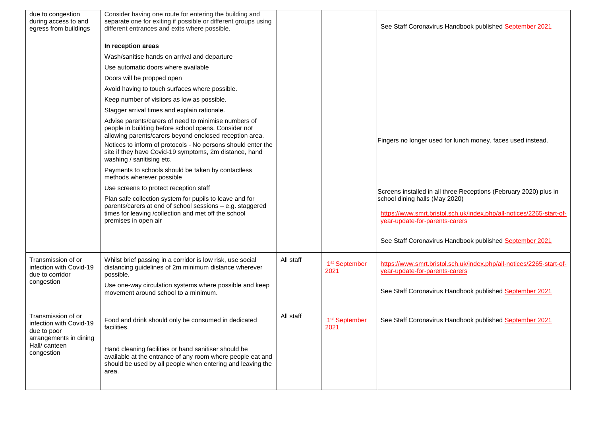| due to congestion<br>during access to and<br>egress from buildings                                                   | Consider having one route for entering the building and<br>separate one for exiting if possible or different groups using<br>different entrances and exits where possible.<br>In reception areas<br>Wash/sanitise hands on arrival and departure<br>Use automatic doors where available<br>Doors will be propped open<br>Avoid having to touch surfaces where possible.                                                                                                                                                                                                                                                                                                                                                                                            |           |                                   | See Staff Coronavirus Handbook published September 2021                                                                                                                                                                                                                                                                                 |
|----------------------------------------------------------------------------------------------------------------------|--------------------------------------------------------------------------------------------------------------------------------------------------------------------------------------------------------------------------------------------------------------------------------------------------------------------------------------------------------------------------------------------------------------------------------------------------------------------------------------------------------------------------------------------------------------------------------------------------------------------------------------------------------------------------------------------------------------------------------------------------------------------|-----------|-----------------------------------|-----------------------------------------------------------------------------------------------------------------------------------------------------------------------------------------------------------------------------------------------------------------------------------------------------------------------------------------|
|                                                                                                                      | Keep number of visitors as low as possible.<br>Stagger arrival times and explain rationale.<br>Advise parents/carers of need to minimise numbers of<br>people in building before school opens. Consider not<br>allowing parents/carers beyond enclosed reception area.<br>Notices to inform of protocols - No persons should enter the<br>site if they have Covid-19 symptoms, 2m distance, hand<br>washing / sanitising etc.<br>Payments to schools should be taken by contactless<br>methods wherever possible<br>Use screens to protect reception staff<br>Plan safe collection system for pupils to leave and for<br>parents/carers at end of school sessions - e.g. staggered<br>times for leaving /collection and met off the school<br>premises in open air |           |                                   | Fingers no longer used for lunch money, faces used instead.<br>Screens installed in all three Receptions (February 2020) plus in<br>school dining halls (May 2020)<br>https://www.smrt.bristol.sch.uk/index.php/all-notices/2265-start-of-<br>year-update-for-parents-carers<br>See Staff Coronavirus Handbook published September 2021 |
| Transmission of or<br>infection with Covid-19<br>due to corridor<br>congestion                                       | Whilst brief passing in a corridor is low risk, use social<br>distancing guidelines of 2m minimum distance wherever<br>possible.<br>Use one-way circulation systems where possible and keep<br>movement around school to a minimum.                                                                                                                                                                                                                                                                                                                                                                                                                                                                                                                                | All staff | 1 <sup>st</sup> September<br>2021 | https://www.smrt.bristol.sch.uk/index.php/all-notices/2265-start-of-<br>year-update-for-parents-carers<br>See Staff Coronavirus Handbook published September 2021                                                                                                                                                                       |
| Transmission of or<br>infection with Covid-19<br>due to poor<br>arrangements in dining<br>Hall/canteen<br>congestion | Food and drink should only be consumed in dedicated<br>facilities.<br>Hand cleaning facilities or hand sanitiser should be<br>available at the entrance of any room where people eat and<br>should be used by all people when entering and leaving the<br>area.                                                                                                                                                                                                                                                                                                                                                                                                                                                                                                    | All staff | 1 <sup>st</sup> September<br>2021 | See Staff Coronavirus Handbook published September 2021                                                                                                                                                                                                                                                                                 |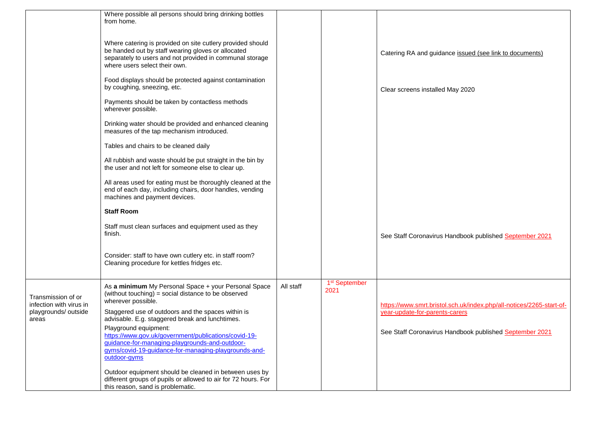|                                               | Where possible all persons should bring drinking bottles<br>from home.                                                                                                                                        |           |                                   |                                                                      |
|-----------------------------------------------|---------------------------------------------------------------------------------------------------------------------------------------------------------------------------------------------------------------|-----------|-----------------------------------|----------------------------------------------------------------------|
|                                               | Where catering is provided on site cutlery provided should<br>be handed out by staff wearing gloves or allocated<br>separately to users and not provided in communal storage<br>where users select their own. |           |                                   | Catering RA and guidance issued (see link to documents)              |
|                                               | Food displays should be protected against contamination<br>by coughing, sneezing, etc.                                                                                                                        |           |                                   | Clear screens installed May 2020                                     |
|                                               | Payments should be taken by contactless methods<br>wherever possible.                                                                                                                                         |           |                                   |                                                                      |
|                                               | Drinking water should be provided and enhanced cleaning<br>measures of the tap mechanism introduced.                                                                                                          |           |                                   |                                                                      |
|                                               | Tables and chairs to be cleaned daily                                                                                                                                                                         |           |                                   |                                                                      |
|                                               | All rubbish and waste should be put straight in the bin by<br>the user and not left for someone else to clear up.                                                                                             |           |                                   |                                                                      |
|                                               | All areas used for eating must be thoroughly cleaned at the<br>end of each day, including chairs, door handles, vending<br>machines and payment devices.                                                      |           |                                   |                                                                      |
|                                               | <b>Staff Room</b>                                                                                                                                                                                             |           |                                   |                                                                      |
|                                               | Staff must clean surfaces and equipment used as they<br>finish.                                                                                                                                               |           |                                   | See Staff Coronavirus Handbook published September 2021              |
|                                               | Consider: staff to have own cutlery etc. in staff room?<br>Cleaning procedure for kettles fridges etc.                                                                                                        |           |                                   |                                                                      |
| Transmission of or<br>infection with virus in | As a minimum My Personal Space + your Personal Space<br>(without touching) = social distance to be observed<br>wherever possible.                                                                             | All staff | 1 <sup>st</sup> September<br>2021 | https://www.smrt.bristol.sch.uk/index.php/all-notices/2265-start-of- |
| playgrounds/ outside<br>areas                 | Staggered use of outdoors and the spaces within is<br>advisable. E.g. staggered break and lunchtimes.                                                                                                         |           |                                   | year-update-for-parents-carers                                       |
|                                               | Playground equipment:<br>https://www.gov.uk/government/publications/covid-19-<br>guidance-for-managing-playgrounds-and-outdoor-<br>gyms/covid-19-guidance-for-managing-playgrounds-and-<br>outdoor-gyms       |           |                                   | See Staff Coronavirus Handbook published September 2021              |
|                                               | Outdoor equipment should be cleaned in between uses by<br>different groups of pupils or allowed to air for 72 hours. For<br>this reason, sand is problematic.                                                 |           |                                   |                                                                      |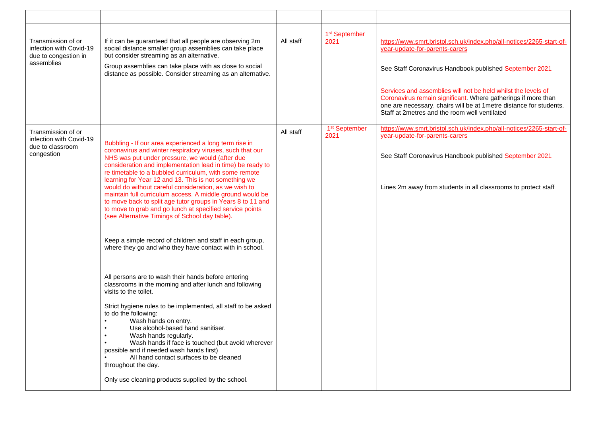| Transmission of or<br>infection with Covid-19<br>due to congestion in<br>assemblies | If it can be guaranteed that all people are observing 2m<br>social distance smaller group assemblies can take place<br>but consider streaming as an alternative.<br>Group assemblies can take place with as close to social<br>distance as possible. Consider streaming as an alternative.                                                                                                                                                                                                                                                                                                                                                                                                                                                                                                                                                                                                                                                                                                                                                                                                                                                                                                                                                                                                                                            | All staff | 1 <sup>st</sup> September<br>2021 | https://www.smrt.bristol.sch.uk/index.php/all-notices/2265-start-of-<br>year-update-for-parents-carers<br>See Staff Coronavirus Handbook published September 2021<br>Services and assemblies will not be held whilst the levels of<br>Coronavirus remain significant. Where gatherings if more than<br>one are necessary, chairs will be at 1 metre distance for students.<br>Staff at 2metres and the room well ventilated |
|-------------------------------------------------------------------------------------|---------------------------------------------------------------------------------------------------------------------------------------------------------------------------------------------------------------------------------------------------------------------------------------------------------------------------------------------------------------------------------------------------------------------------------------------------------------------------------------------------------------------------------------------------------------------------------------------------------------------------------------------------------------------------------------------------------------------------------------------------------------------------------------------------------------------------------------------------------------------------------------------------------------------------------------------------------------------------------------------------------------------------------------------------------------------------------------------------------------------------------------------------------------------------------------------------------------------------------------------------------------------------------------------------------------------------------------|-----------|-----------------------------------|-----------------------------------------------------------------------------------------------------------------------------------------------------------------------------------------------------------------------------------------------------------------------------------------------------------------------------------------------------------------------------------------------------------------------------|
| Transmission of or<br>infection with Covid-19<br>due to classroom<br>congestion     | Bubbling - If our area experienced a long term rise in<br>coronavirus and winter respiratory viruses, such that our<br>NHS was put under pressure, we would (after due<br>consideration and implementation lead in time) be ready to<br>re timetable to a bubbled curriculum, with some remote<br>learning for Year 12 and 13. This is not something we<br>would do without careful consideration, as we wish to<br>maintain full curriculum access. A middle ground would be<br>to move back to split age tutor groups in Years 8 to 11 and<br>to move to grab and go lunch at specified service points<br>(see Alternative Timings of School day table).<br>Keep a simple record of children and staff in each group,<br>where they go and who they have contact with in school.<br>All persons are to wash their hands before entering<br>classrooms in the morning and after lunch and following<br>visits to the toilet.<br>Strict hygiene rules to be implemented, all staff to be asked<br>to do the following:<br>Wash hands on entry.<br>Use alcohol-based hand sanitiser.<br>Wash hands regularly.<br>Wash hands if face is touched (but avoid wherever<br>possible and if needed wash hands first)<br>All hand contact surfaces to be cleaned<br>throughout the day.<br>Only use cleaning products supplied by the school. | All staff | 1 <sup>st</sup> September<br>2021 | https://www.smrt.bristol.sch.uk/index.php/all-notices/2265-start-of-<br>year-update-for-parents-carers<br>See Staff Coronavirus Handbook published September 2021<br>Lines 2m away from students in all classrooms to protect staff                                                                                                                                                                                         |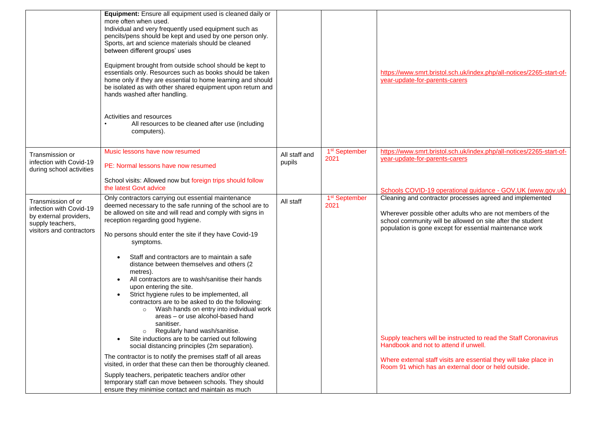|                                                                                                                         | <b>Equipment:</b> Ensure all equipment used is cleaned daily or<br>more often when used.<br>Individual and very frequently used equipment such as<br>pencils/pens should be kept and used by one person only.<br>Sports, art and science materials should be cleaned<br>between different groups' uses<br>Equipment brought from outside school should be kept to<br>essentials only. Resources such as books should be taken<br>home only if they are essential to home learning and should<br>be isolated as with other shared equipment upon return and<br>hands washed after handling.<br>Activities and resources<br>All resources to be cleaned after use (including<br>computers).                                         |                         |                                   | https://www.smrt.bristol.sch.uk/index.php/all-notices/2265-start-of-<br>year-update-for-parents-carers                                                                                                                                          |
|-------------------------------------------------------------------------------------------------------------------------|-----------------------------------------------------------------------------------------------------------------------------------------------------------------------------------------------------------------------------------------------------------------------------------------------------------------------------------------------------------------------------------------------------------------------------------------------------------------------------------------------------------------------------------------------------------------------------------------------------------------------------------------------------------------------------------------------------------------------------------|-------------------------|-----------------------------------|-------------------------------------------------------------------------------------------------------------------------------------------------------------------------------------------------------------------------------------------------|
| Transmission or<br>infection with Covid-19<br>during school activities                                                  | Music lessons have now resumed<br>PE: Normal lessons have now resumed<br>School visits: Allowed now but foreign trips should follow                                                                                                                                                                                                                                                                                                                                                                                                                                                                                                                                                                                               | All staff and<br>pupils | 1 <sup>st</sup> September<br>2021 | https://www.smrt.bristol.sch.uk/index.php/all-notices/2265-start-of-<br>year-update-for-parents-carers                                                                                                                                          |
|                                                                                                                         | the latest Govt advice                                                                                                                                                                                                                                                                                                                                                                                                                                                                                                                                                                                                                                                                                                            |                         |                                   | Schools COVID-19 operational guidance - GOV.UK (www.gov.uk)                                                                                                                                                                                     |
| Transmission of or<br>infection with Covid-19<br>by external providers,<br>supply teachers,<br>visitors and contractors | Only contractors carrying out essential maintenance<br>deemed necessary to the safe running of the school are to<br>be allowed on site and will read and comply with signs in<br>reception regarding good hygiene.<br>No persons should enter the site if they have Covid-19<br>symptoms.<br>Staff and contractors are to maintain a safe<br>distance between themselves and others (2<br>metres).<br>All contractors are to wash/sanitise their hands<br>upon entering the site.<br>Strict hygiene rules to be implemented, all<br>$\bullet$<br>contractors are to be asked to do the following:<br>Wash hands on entry into individual work<br>areas - or use alcohol-based hand<br>sanitiser.<br>Regularly hand wash/sanitise. | All staff               | 1 <sup>st</sup> September<br>2021 | Cleaning and contractor processes agreed and implemented<br>Wherever possible other adults who are not members of the<br>school community will be allowed on site after the student<br>population is gone except for essential maintenance work |
|                                                                                                                         | Site inductions are to be carried out following<br>$\bullet$<br>social distancing principles (2m separation).                                                                                                                                                                                                                                                                                                                                                                                                                                                                                                                                                                                                                     |                         |                                   | Supply teachers will be instructed to read the Staff Coronavirus<br>Handbook and not to attend if unwell.                                                                                                                                       |
|                                                                                                                         | The contractor is to notify the premises staff of all areas<br>visited, in order that these can then be thoroughly cleaned.                                                                                                                                                                                                                                                                                                                                                                                                                                                                                                                                                                                                       |                         |                                   | Where external staff visits are essential they will take place in<br>Room 91 which has an external door or held outside.                                                                                                                        |
|                                                                                                                         | Supply teachers, peripatetic teachers and/or other<br>temporary staff can move between schools. They should<br>ensure they minimise contact and maintain as much                                                                                                                                                                                                                                                                                                                                                                                                                                                                                                                                                                  |                         |                                   |                                                                                                                                                                                                                                                 |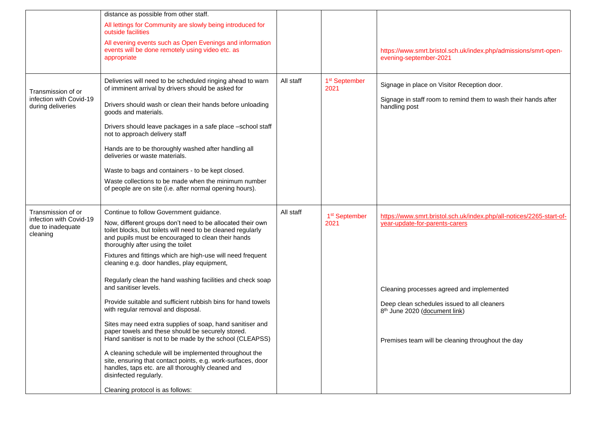|                                                          | distance as possible from other staff.                                                                                                                                                                                |           |                                   |                                                                                                        |
|----------------------------------------------------------|-----------------------------------------------------------------------------------------------------------------------------------------------------------------------------------------------------------------------|-----------|-----------------------------------|--------------------------------------------------------------------------------------------------------|
|                                                          | All lettings for Community are slowly being introduced for<br>outside facilities                                                                                                                                      |           |                                   |                                                                                                        |
|                                                          | All evening events such as Open Evenings and information<br>events will be done remotely using video etc. as<br>appropriate                                                                                           |           |                                   | https://www.smrt.bristol.sch.uk/index.php/admissions/smrt-open-<br>evening-september-2021              |
| Transmission of or<br>infection with Covid-19            | Deliveries will need to be scheduled ringing ahead to warn<br>of imminent arrival by drivers should be asked for                                                                                                      | All staff | 1 <sup>st</sup> September<br>2021 | Signage in place on Visitor Reception door.                                                            |
| during deliveries                                        | Drivers should wash or clean their hands before unloading<br>goods and materials.                                                                                                                                     |           |                                   | Signage in staff room to remind them to wash their hands after<br>handling post                        |
|                                                          | Drivers should leave packages in a safe place -school staff<br>not to approach delivery staff                                                                                                                         |           |                                   |                                                                                                        |
|                                                          | Hands are to be thoroughly washed after handling all<br>deliveries or waste materials.                                                                                                                                |           |                                   |                                                                                                        |
|                                                          | Waste to bags and containers - to be kept closed.                                                                                                                                                                     |           |                                   |                                                                                                        |
|                                                          | Waste collections to be made when the minimum number<br>of people are on site (i.e. after normal opening hours).                                                                                                      |           |                                   |                                                                                                        |
| Transmission of or                                       | Continue to follow Government guidance.                                                                                                                                                                               | All staff |                                   |                                                                                                        |
| infection with Covid-19<br>due to inadequate<br>cleaning | Now, different groups don't need to be allocated their own<br>toilet blocks, but toilets will need to be cleaned regularly<br>and pupils must be encouraged to clean their hands<br>thoroughly after using the toilet |           | 1 <sup>st</sup> September<br>2021 | https://www.smrt.bristol.sch.uk/index.php/all-notices/2265-start-of-<br>year-update-for-parents-carers |
|                                                          | Fixtures and fittings which are high-use will need frequent<br>cleaning e.g. door handles, play equipment,                                                                                                            |           |                                   |                                                                                                        |
|                                                          | Regularly clean the hand washing facilities and check soap<br>and sanitiser levels.                                                                                                                                   |           |                                   | Cleaning processes agreed and implemented                                                              |
|                                                          | Provide suitable and sufficient rubbish bins for hand towels<br>with regular removal and disposal.                                                                                                                    |           |                                   | Deep clean schedules issued to all cleaners<br>8 <sup>th</sup> June 2020 (document link)               |
|                                                          | Sites may need extra supplies of soap, hand sanitiser and<br>paper towels and these should be securely stored.                                                                                                        |           |                                   |                                                                                                        |
|                                                          | Hand sanitiser is not to be made by the school (CLEAPSS)                                                                                                                                                              |           |                                   | Premises team will be cleaning throughout the day                                                      |
|                                                          | A cleaning schedule will be implemented throughout the<br>site, ensuring that contact points, e.g. work-surfaces, door                                                                                                |           |                                   |                                                                                                        |
|                                                          | handles, taps etc. are all thoroughly cleaned and<br>disinfected regularly.                                                                                                                                           |           |                                   |                                                                                                        |
|                                                          | Cleaning protocol is as follows:                                                                                                                                                                                      |           |                                   |                                                                                                        |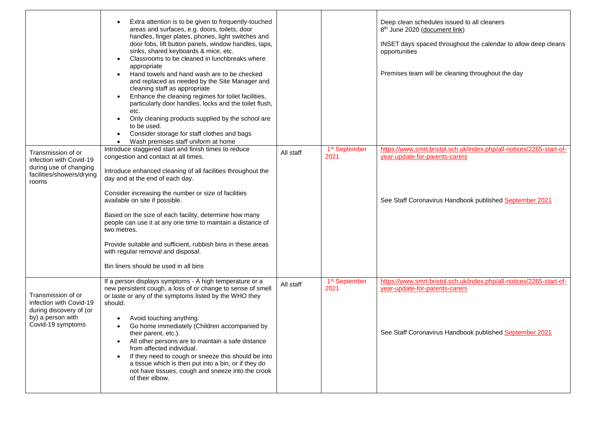|                                                                                                                    | Extra attention is to be given to frequently-touched<br>areas and surfaces, e.g. doors, toilets, door<br>handles, finger plates, phones, light switches and<br>door fobs, lift button panels, window handles, taps,<br>sinks, shared keyboards & mice, etc.<br>Classrooms to be cleaned in lunchbreaks where<br>appropriate<br>Hand towels and hand wash are to be checked<br>$\bullet$<br>and replaced as needed by the Site Manager and<br>cleaning staff as appropriate<br>Enhance the cleaning regimes for toilet facilities,<br>particularly door handles, locks and the toilet flush,<br>etc.<br>Only cleaning products supplied by the school are<br>$\bullet$<br>to be used.<br>Consider storage for staff clothes and bags<br>$\bullet$<br>Wash premises staff uniform at home<br>$\bullet$<br>Introduce staggered start and finish times to reduce |           | 1 <sup>st</sup> September         | Deep clean schedules issued to all cleaners<br>8 <sup>th</sup> June 2020 (document link)<br>INSET days spaced throughout the calendar to allow deep cleans<br>opportunities<br>Premises team will be cleaning throughout the day<br>https://www.smrt.bristol.sch.uk/index.php/all-notices/2265-start-of- |
|--------------------------------------------------------------------------------------------------------------------|--------------------------------------------------------------------------------------------------------------------------------------------------------------------------------------------------------------------------------------------------------------------------------------------------------------------------------------------------------------------------------------------------------------------------------------------------------------------------------------------------------------------------------------------------------------------------------------------------------------------------------------------------------------------------------------------------------------------------------------------------------------------------------------------------------------------------------------------------------------|-----------|-----------------------------------|----------------------------------------------------------------------------------------------------------------------------------------------------------------------------------------------------------------------------------------------------------------------------------------------------------|
| Transmission of or<br>infection with Covid-19<br>during use of changing<br>facilities/showers/drying<br>rooms      | congestion and contact at all times.<br>Introduce enhanced cleaning of all facilities throughout the<br>day and at the end of each day.<br>Consider increasing the number or size of facilities<br>available on site if possible.<br>Based on the size of each facility, determine how many<br>people can use it at any one time to maintain a distance of<br>two metres.                                                                                                                                                                                                                                                                                                                                                                                                                                                                                    | All staff | 2021                              | year-update-for-parents-carers<br>See Staff Coronavirus Handbook published September 2021                                                                                                                                                                                                                |
|                                                                                                                    | Provide suitable and sufficient, rubbish bins in these areas<br>with regular removal and disposal.<br>Bin liners should be used in all bins                                                                                                                                                                                                                                                                                                                                                                                                                                                                                                                                                                                                                                                                                                                  |           |                                   |                                                                                                                                                                                                                                                                                                          |
| Transmission of or<br>infection with Covid-19<br>during discovery of (or<br>by) a person with<br>Covid-19 symptoms | If a person displays symptoms - A high temperature or a<br>new persistent cough, a loss of or change to sense of smell<br>or taste or any of the symptoms listed by the WHO they<br>should:<br>Avoid touching anything.<br>Go home immediately (Children accompanied by<br>their parent, etc.).<br>All other persons are to maintain a safe distance<br>from affected individual.<br>If they need to cough or sneeze this should be into<br>a tissue which is then put into a bin, or if they do<br>not have tissues, cough and sneeze into the crook<br>of their elbow.                                                                                                                                                                                                                                                                                     | All staff | 1 <sup>st</sup> September<br>2021 | https://www.smrt.bristol.sch.uk/index.php/all-notices/2265-start-of-<br>year-update-for-parents-carers<br>See Staff Coronavirus Handbook published September 2021                                                                                                                                        |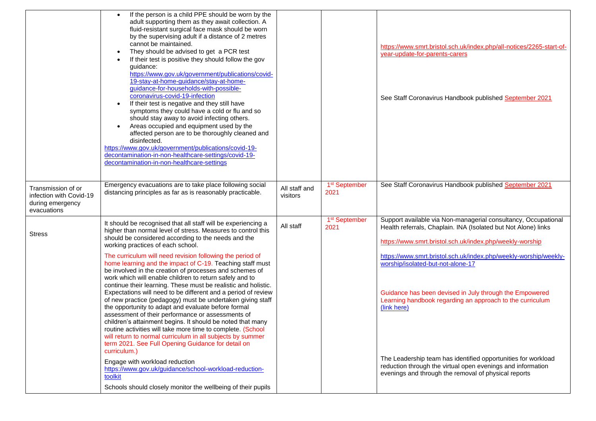|                                                                                  | If the person is a child PPE should be worn by the<br>adult supporting them as they await collection. A<br>fluid-resistant surgical face mask should be worn<br>by the supervising adult if a distance of 2 metres<br>cannot be maintained.<br>They should be advised to get a PCR test<br>$\bullet$<br>If their test is positive they should follow the gov<br>quidance:<br>https://www.gov.uk/government/publications/covid-<br>19-stay-at-home-guidance/stay-at-home-<br>guidance-for-households-with-possible-<br>coronavirus-covid-19-infection<br>If their test is negative and they still have<br>symptoms they could have a cold or flu and so<br>should stay away to avoid infecting others.<br>Areas occupied and equipment used by the<br>affected person are to be thoroughly cleaned and<br>disinfected.<br>https://www.gov.uk/government/publications/covid-19-<br>decontamination-in-non-healthcare-settings/covid-19-<br>decontamination-in-non-healthcare-settings |                           |                                   | https://www.smrt.bristol.sch.uk/index.php/all-notices/2265-start-of-<br>year-update-for-parents-carers<br>See Staff Coronavirus Handbook published September 2021                            |
|----------------------------------------------------------------------------------|-------------------------------------------------------------------------------------------------------------------------------------------------------------------------------------------------------------------------------------------------------------------------------------------------------------------------------------------------------------------------------------------------------------------------------------------------------------------------------------------------------------------------------------------------------------------------------------------------------------------------------------------------------------------------------------------------------------------------------------------------------------------------------------------------------------------------------------------------------------------------------------------------------------------------------------------------------------------------------------|---------------------------|-----------------------------------|----------------------------------------------------------------------------------------------------------------------------------------------------------------------------------------------|
| Transmission of or<br>infection with Covid-19<br>during emergency<br>evacuations | Emergency evacuations are to take place following social<br>distancing principles as far as is reasonably practicable.                                                                                                                                                                                                                                                                                                                                                                                                                                                                                                                                                                                                                                                                                                                                                                                                                                                              | All staff and<br>visitors | 1 <sup>st</sup> September<br>2021 | See Staff Coronavirus Handbook published September 2021                                                                                                                                      |
| <b>Stress</b>                                                                    | It should be recognised that all staff will be experiencing a<br>higher than normal level of stress. Measures to control this<br>should be considered according to the needs and the<br>working practices of each school.                                                                                                                                                                                                                                                                                                                                                                                                                                                                                                                                                                                                                                                                                                                                                           | All staff                 | 1 <sup>st</sup> September<br>2021 | Support available via Non-managerial consultancy, Occupational<br>Health referrals, Chaplain. INA (Isolated but Not Alone) links<br>https://www.smrt.bristol.sch.uk/index.php/weekly-worship |
|                                                                                  | The curriculum will need revision following the period of<br>home learning and the impact of C-19. Teaching staff must<br>be involved in the creation of processes and schemes of<br>work which will enable children to return safely and to                                                                                                                                                                                                                                                                                                                                                                                                                                                                                                                                                                                                                                                                                                                                        |                           |                                   | https://www.smrt.bristol.sch.uk/index.php/weekly-worship/weekly-<br>worship/isolated-but-not-alone-17                                                                                        |
|                                                                                  | continue their learning. These must be realistic and holistic.<br>Expectations will need to be different and a period of review<br>of new practice (pedagogy) must be undertaken giving staff<br>the opportunity to adapt and evaluate before formal<br>assessment of their performance or assessments of<br>children's attainment begins. It should be noted that many<br>routine activities will take more time to complete. (School<br>will return to normal curriculum in all subjects by summer<br>term 2021. See Full Opening Guidance for detail on<br>curriculum.)                                                                                                                                                                                                                                                                                                                                                                                                          |                           |                                   | Guidance has been devised in July through the Empowered<br>Learning handbook regarding an approach to the curriculum<br>(link here)                                                          |
|                                                                                  | Engage with workload reduction<br>https://www.gov.uk/guidance/school-workload-reduction-<br>toolkit<br>Schools should closely monitor the wellbeing of their pupils                                                                                                                                                                                                                                                                                                                                                                                                                                                                                                                                                                                                                                                                                                                                                                                                                 |                           |                                   | The Leadership team has identified opportunities for workload<br>reduction through the virtual open evenings and information<br>evenings and through the removal of physical reports         |
|                                                                                  |                                                                                                                                                                                                                                                                                                                                                                                                                                                                                                                                                                                                                                                                                                                                                                                                                                                                                                                                                                                     |                           |                                   |                                                                                                                                                                                              |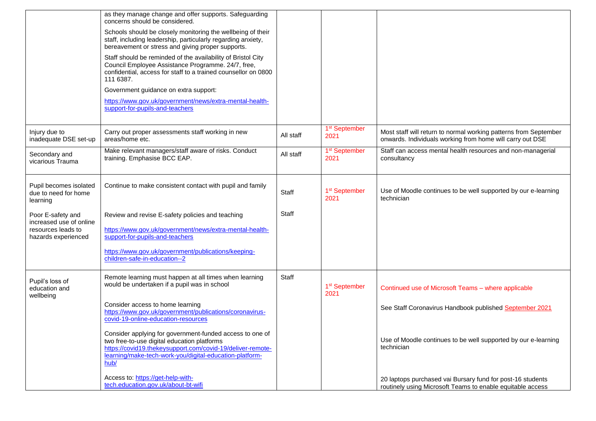|                                                                      | as they manage change and offer supports. Safeguarding<br>concerns should be considered.                                                                                                                                                 |           |                                   |                                                                                                                               |
|----------------------------------------------------------------------|------------------------------------------------------------------------------------------------------------------------------------------------------------------------------------------------------------------------------------------|-----------|-----------------------------------|-------------------------------------------------------------------------------------------------------------------------------|
|                                                                      | Schools should be closely monitoring the wellbeing of their<br>staff, including leadership, particularly regarding anxiety,<br>bereavement or stress and giving proper supports.                                                         |           |                                   |                                                                                                                               |
|                                                                      | Staff should be reminded of the availability of Bristol City<br>Council Employee Assistance Programme. 24/7, free,<br>confidential, access for staff to a trained counsellor on 0800<br>111 6387.                                        |           |                                   |                                                                                                                               |
|                                                                      | Government guidance on extra support:                                                                                                                                                                                                    |           |                                   |                                                                                                                               |
|                                                                      | https://www.gov.uk/government/news/extra-mental-health-<br>support-for-pupils-and-teachers                                                                                                                                               |           |                                   |                                                                                                                               |
| Injury due to<br>inadequate DSE set-up                               | Carry out proper assessments staff working in new<br>areas/home etc.                                                                                                                                                                     | All staff | 1 <sup>st</sup> September<br>2021 | Most staff will return to normal working patterns from September<br>onwards. Individuals working from home will carry out DSE |
| Secondary and<br>vicarious Trauma                                    | Make relevant managers/staff aware of risks. Conduct<br>training. Emphasise BCC EAP.                                                                                                                                                     | All staff | 1 <sup>st</sup> September<br>2021 | Staff can access mental health resources and non-managerial<br>consultancy                                                    |
| Pupil becomes isolated<br>due to need for home<br>learning           | Continue to make consistent contact with pupil and family                                                                                                                                                                                | Staff     | 1 <sup>st</sup> September<br>2021 | Use of Moodle continues to be well supported by our e-learning<br>technician                                                  |
| Poor E-safety and                                                    | Review and revise E-safety policies and teaching                                                                                                                                                                                         | Staff     |                                   |                                                                                                                               |
| increased use of online<br>resources leads to<br>hazards experienced | https://www.gov.uk/government/news/extra-mental-health-<br>support-for-pupils-and-teachers                                                                                                                                               |           |                                   |                                                                                                                               |
|                                                                      | https://www.gov.uk/government/publications/keeping-<br>children-safe-in-education--2                                                                                                                                                     |           |                                   |                                                                                                                               |
| Pupil's loss of<br>education and<br>wellbeing                        | Remote learning must happen at all times when learning<br>would be undertaken if a pupil was in school                                                                                                                                   | Staff     | 1 <sup>st</sup> September<br>2021 | Continued use of Microsoft Teams - where applicable                                                                           |
|                                                                      | Consider access to home learning<br>https://www.gov.uk/government/publications/coronavirus-<br>covid-19-online-education-resources                                                                                                       |           |                                   | See Staff Coronavirus Handbook published September 2021                                                                       |
|                                                                      | Consider applying for government-funded access to one of<br>two free-to-use digital education platforms<br>https://covid19.thekeysupport.com/covid-19/deliver-remote-<br>learning/make-tech-work-you/digital-education-platform-<br>hub/ |           |                                   | Use of Moodle continues to be well supported by our e-learning<br>technician                                                  |
|                                                                      | Access to: https://get-help-with-<br>tech.education.gov.uk/about-bt-wifi                                                                                                                                                                 |           |                                   | 20 laptops purchased vai Bursary fund for post-16 students<br>routinely using Microsoft Teams to enable equitable access      |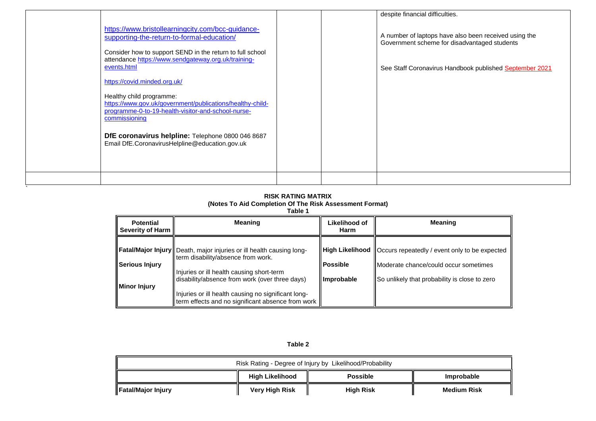| https://www.bristollearningcity.com/bcc-guidance-<br>supporting-the-return-to-formal-education/<br>Consider how to support SEND in the return to full school<br>attendance https://www.sendgateway.org.uk/training-<br>events.html<br>https://covid.minded.org.uk/<br>Healthy child programme:<br>https://www.gov.uk/government/publications/healthy-child-<br>programme-0-to-19-health-visitor-and-school-nurse-<br>commissioning<br>DfE coronavirus helpline: Telephone 0800 046 8687<br>Email DfE.CoronavirusHelpline@education.gov.uk |  | despite financial difficulties.<br>A number of laptops have also been received using the<br>Government scheme for disadvantaged students<br>See Staff Coronavirus Handbook published September 2021 |
|-------------------------------------------------------------------------------------------------------------------------------------------------------------------------------------------------------------------------------------------------------------------------------------------------------------------------------------------------------------------------------------------------------------------------------------------------------------------------------------------------------------------------------------------|--|-----------------------------------------------------------------------------------------------------------------------------------------------------------------------------------------------------|
|                                                                                                                                                                                                                                                                                                                                                                                                                                                                                                                                           |  |                                                                                                                                                                                                     |

#### **RISK RATING MATRIX (Notes To Aid Completion Of The Risk Assessment Format)**

#### **Table 1**

| <b>Potential</b><br>Severity of Harm | <b>Meaning</b>                                                                                                      | Likelihood of<br>Harm | <b>Meaning</b>                                                         |
|--------------------------------------|---------------------------------------------------------------------------------------------------------------------|-----------------------|------------------------------------------------------------------------|
|                                      | <b>Fatal/Major Injury</b>   Death, major injuries or ill health causing long-<br>term disability/absence from work. |                       | <b>High Likelihood</b>   Occurs repeatedly / event only to be expected |
| Serious Injury                       |                                                                                                                     | <b>Possible</b>       | Moderate chance/could occur sometimes                                  |
| Minor Injury                         | Injuries or ill health causing short-term<br>disability/absence from work (over three days)                         | <b>Improbable</b>     | So unlikely that probability is close to zero                          |
|                                      | Injuries or ill health causing no significant long-<br>term effects and no significant absence from work            |                       |                                                                        |

### **Table 2**

| Risk Rating - Degree of Injury by Likelihood/Probability |                |                  |                    |  |  |
|----------------------------------------------------------|----------------|------------------|--------------------|--|--|
| High Likelihood<br><b>Possible</b><br><b>Improbable</b>  |                |                  |                    |  |  |
| <b>IFatal/Major Injury</b>                               | Very High Risk | <b>High Risk</b> | <b>Medium Risk</b> |  |  |